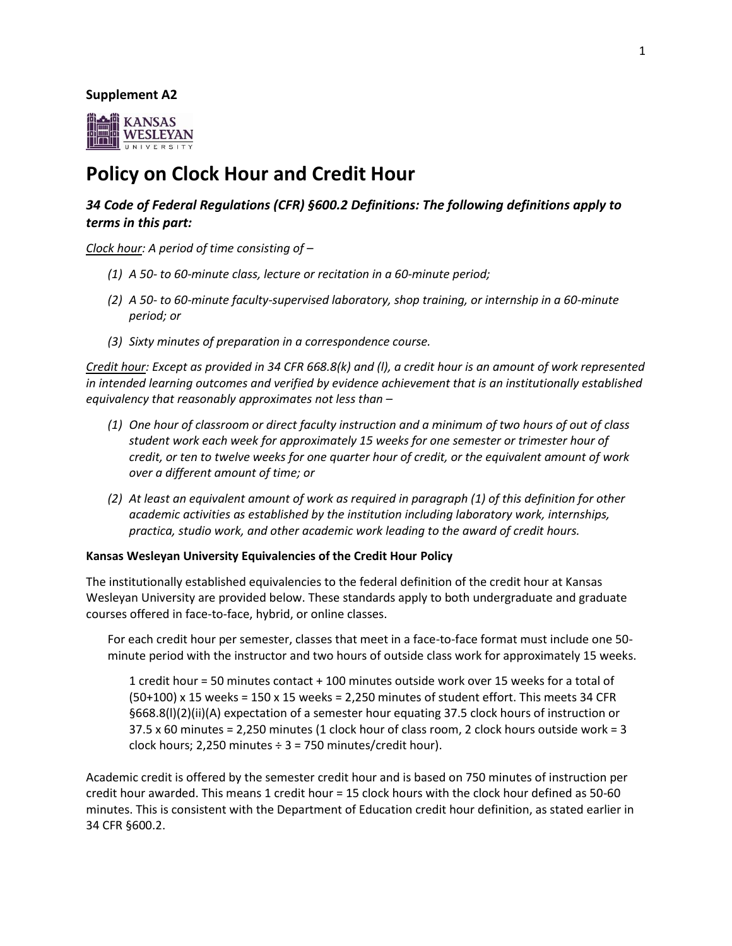#### **Supplement A2**



# **Policy on Clock Hour and Credit Hour**

# *34 Code of Federal Regulations (CFR) §600.2 Definitions: The following definitions apply to terms in this part:*

*Clock hour: A period of time consisting of –*

- *(1) A 50- to 60-minute class, lecture or recitation in a 60-minute period;*
- *(2) A 50- to 60-minute faculty-supervised laboratory, shop training, or internship in a 60-minute period; or*
- *(3) Sixty minutes of preparation in a correspondence course.*

*Credit hour: Except as provided in 34 CFR 668.8(k) and (l), a credit hour is an amount of work represented in intended learning outcomes and verified by evidence achievement that is an institutionally established equivalency that reasonably approximates not less than –*

- *(1) One hour of classroom or direct faculty instruction and a minimum of two hours of out of class student work each week for approximately 15 weeks for one semester or trimester hour of credit, or ten to twelve weeks for one quarter hour of credit, or the equivalent amount of work over a different amount of time; or*
- *(2) At least an equivalent amount of work as required in paragraph (1) of this definition for other academic activities as established by the institution including laboratory work, internships, practica, studio work, and other academic work leading to the award of credit hours.*

#### **Kansas Wesleyan University Equivalencies of the Credit Hour Policy**

The institutionally established equivalencies to the federal definition of the credit hour at Kansas Wesleyan University are provided below. These standards apply to both undergraduate and graduate courses offered in face-to-face, hybrid, or online classes.

For each credit hour per semester, classes that meet in a face-to-face format must include one 50 minute period with the instructor and two hours of outside class work for approximately 15 weeks.

1 credit hour = 50 minutes contact + 100 minutes outside work over 15 weeks for a total of  $(50+100)$  x 15 weeks = 150 x 15 weeks = 2,250 minutes of student effort. This meets 34 CFR §668.8(l)(2)(ii)(A) expectation of a semester hour equating 37.5 clock hours of instruction or 37.5 x 60 minutes = 2,250 minutes (1 clock hour of class room, 2 clock hours outside work = 3 clock hours; 2,250 minutes  $\div$  3 = 750 minutes/credit hour).

Academic credit is offered by the semester credit hour and is based on 750 minutes of instruction per credit hour awarded. This means 1 credit hour = 15 clock hours with the clock hour defined as 50-60 minutes. This is consistent with the Department of Education credit hour definition, as stated earlier in 34 CFR §600.2.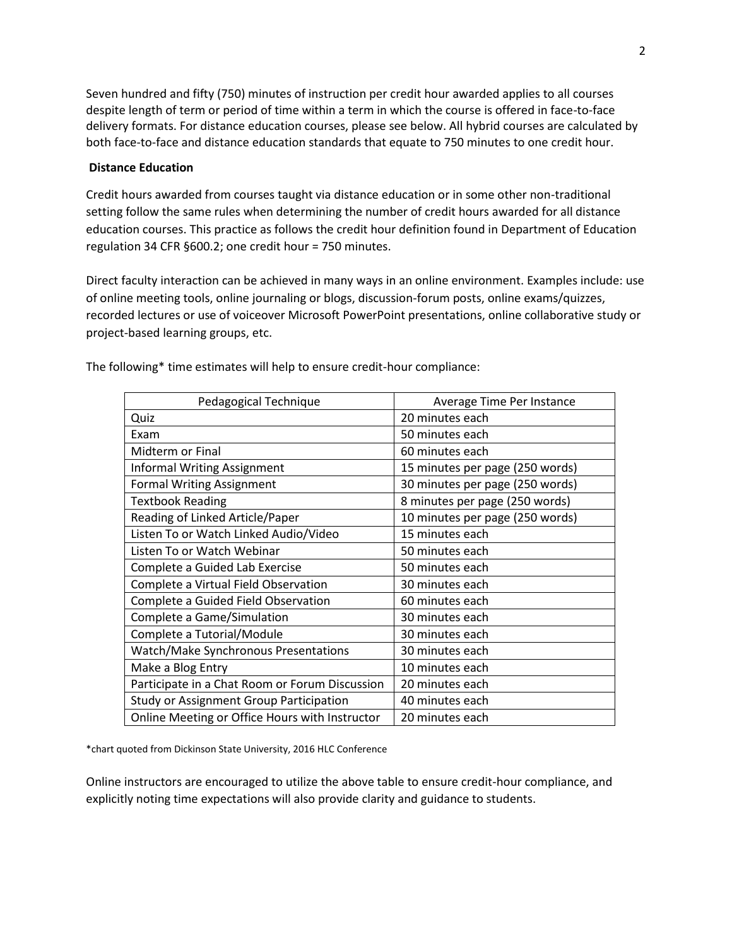Seven hundred and fifty (750) minutes of instruction per credit hour awarded applies to all courses despite length of term or period of time within a term in which the course is offered in face-to-face delivery formats. For distance education courses, please see below. All hybrid courses are calculated by both face-to-face and distance education standards that equate to 750 minutes to one credit hour.

### **Distance Education**

Credit hours awarded from courses taught via distance education or in some other non-traditional setting follow the same rules when determining the number of credit hours awarded for all distance education courses. This practice as follows the credit hour definition found in Department of Education regulation 34 CFR §600.2; one credit hour = 750 minutes.

Direct faculty interaction can be achieved in many ways in an online environment. Examples include: use of online meeting tools, online journaling or blogs, discussion-forum posts, online exams/quizzes, recorded lectures or use of voiceover Microsoft PowerPoint presentations, online collaborative study or project-based learning groups, etc.

| Pedagogical Technique                          | Average Time Per Instance       |
|------------------------------------------------|---------------------------------|
| Quiz                                           | 20 minutes each                 |
| Exam                                           | 50 minutes each                 |
| Midterm or Final                               | 60 minutes each                 |
| <b>Informal Writing Assignment</b>             | 15 minutes per page (250 words) |
| <b>Formal Writing Assignment</b>               | 30 minutes per page (250 words) |
| <b>Textbook Reading</b>                        | 8 minutes per page (250 words)  |
| Reading of Linked Article/Paper                | 10 minutes per page (250 words) |
| Listen To or Watch Linked Audio/Video          | 15 minutes each                 |
| Listen To or Watch Webinar                     | 50 minutes each                 |
| Complete a Guided Lab Exercise                 | 50 minutes each                 |
| Complete a Virtual Field Observation           | 30 minutes each                 |
| Complete a Guided Field Observation            | 60 minutes each                 |
| Complete a Game/Simulation                     | 30 minutes each                 |
| Complete a Tutorial/Module                     | 30 minutes each                 |
| <b>Watch/Make Synchronous Presentations</b>    | 30 minutes each                 |
| Make a Blog Entry                              | 10 minutes each                 |
| Participate in a Chat Room or Forum Discussion | 20 minutes each                 |
| <b>Study or Assignment Group Participation</b> | 40 minutes each                 |
| Online Meeting or Office Hours with Instructor | 20 minutes each                 |

The following\* time estimates will help to ensure credit-hour compliance:

\*chart quoted from Dickinson State University, 2016 HLC Conference

Online instructors are encouraged to utilize the above table to ensure credit-hour compliance, and explicitly noting time expectations will also provide clarity and guidance to students.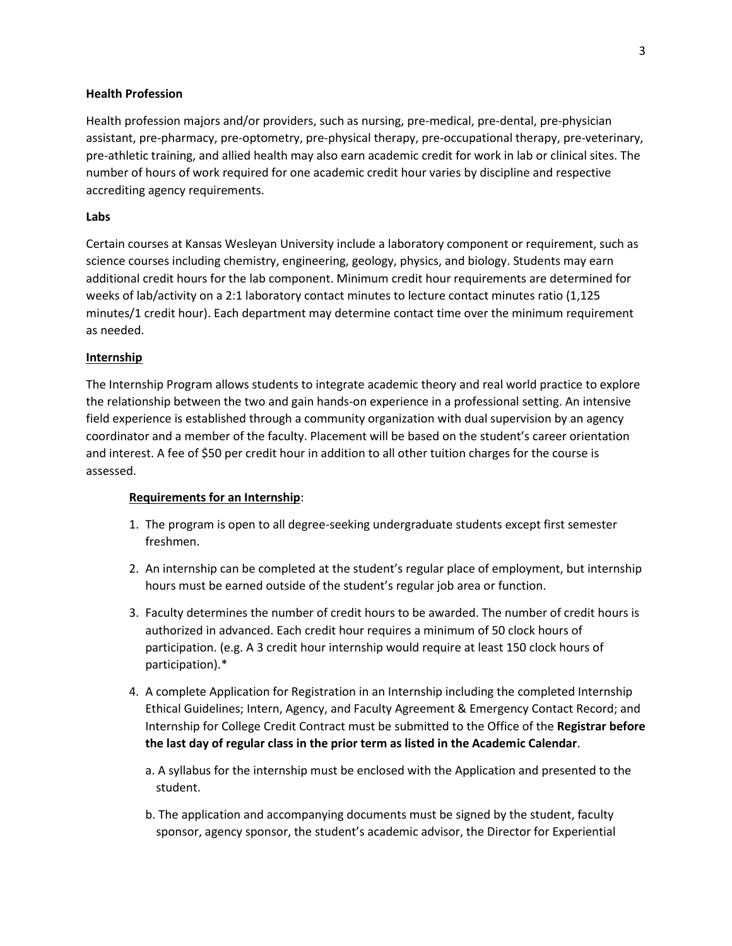# **Health Profession**

Health profession majors and/or providers, such as nursing, pre-medical, pre-dental, pre-physician assistant, pre-pharmacy, pre-optometry, pre-physical therapy, pre-occupational therapy, pre-veterinary, pre-athletic training, and allied health may also earn academic credit for work in lab or clinical sites. The number of hours of work required for one academic credit hour varies by discipline and respective accrediting agency requirements.

### **Labs**

Certain courses at Kansas Wesleyan University include a laboratory component or requirement, such as science courses including chemistry, engineering, geology, physics, and biology. Students may earn additional credit hours for the lab component. Minimum credit hour requirements are determined for weeks of lab/activity on a 2:1 laboratory contact minutes to lecture contact minutes ratio (1,125 minutes/1 credit hour). Each department may determine contact time over the minimum requirement as needed.

# **Internship**

The Internship Program allows students to integrate academic theory and real world practice to explore the relationship between the two and gain hands-on experience in a professional setting. An intensive field experience is established through a community organization with dual supervision by an agency coordinator and a member of the faculty. Placement will be based on the student's career orientation and interest. A fee of \$50 per credit hour in addition to all other tuition charges for the course is assessed.

#### **Requirements for an Internship**:

- 1. The program is open to all degree-seeking undergraduate students except first semester freshmen.
- 2. An internship can be completed at the student's regular place of employment, but internship hours must be earned outside of the student's regular job area or function.
- 3. Faculty determines the number of credit hours to be awarded. The number of credit hours is authorized in advanced. Each credit hour requires a minimum of 50 clock hours of participation. (e.g. A 3 credit hour internship would require at least 150 clock hours of participation).\*
- 4. A complete Application for Registration in an Internship including the completed Internship Ethical Guidelines; Intern, Agency, and Faculty Agreement & Emergency Contact Record; and Internship for College Credit Contract must be submitted to the Office of the **Registrar before the last day of regular class in the prior term as listed in the Academic Calendar**.
	- a. A syllabus for the internship must be enclosed with the Application and presented to the student.
	- b. The application and accompanying documents must be signed by the student, faculty sponsor, agency sponsor, the student's academic advisor, the Director for Experiential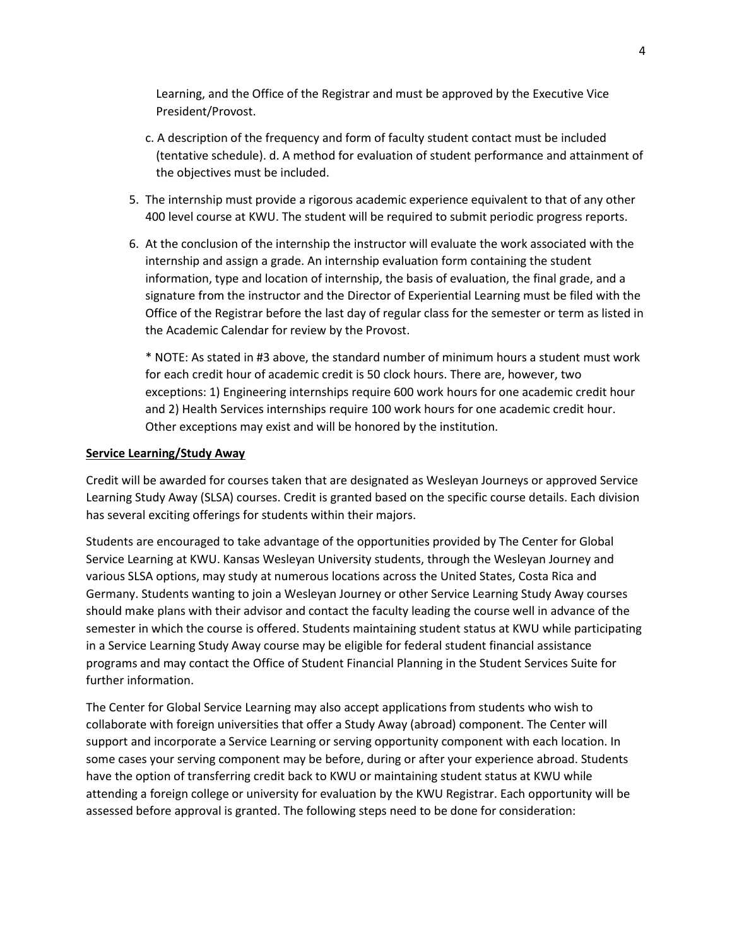Learning, and the Office of the Registrar and must be approved by the Executive Vice President/Provost.

- c. A description of the frequency and form of faculty student contact must be included (tentative schedule). d. A method for evaluation of student performance and attainment of the objectives must be included.
- 5. The internship must provide a rigorous academic experience equivalent to that of any other 400 level course at KWU. The student will be required to submit periodic progress reports.
- 6. At the conclusion of the internship the instructor will evaluate the work associated with the internship and assign a grade. An internship evaluation form containing the student information, type and location of internship, the basis of evaluation, the final grade, and a signature from the instructor and the Director of Experiential Learning must be filed with the Office of the Registrar before the last day of regular class for the semester or term as listed in the Academic Calendar for review by the Provost.

\* NOTE: As stated in #3 above, the standard number of minimum hours a student must work for each credit hour of academic credit is 50 clock hours. There are, however, two exceptions: 1) Engineering internships require 600 work hours for one academic credit hour and 2) Health Services internships require 100 work hours for one academic credit hour. Other exceptions may exist and will be honored by the institution.

#### **Service Learning/Study Away**

Credit will be awarded for courses taken that are designated as Wesleyan Journeys or approved Service Learning Study Away (SLSA) courses. Credit is granted based on the specific course details. Each division has several exciting offerings for students within their majors.

Students are encouraged to take advantage of the opportunities provided by The Center for Global Service Learning at KWU. Kansas Wesleyan University students, through the Wesleyan Journey and various SLSA options, may study at numerous locations across the United States, Costa Rica and Germany. Students wanting to join a Wesleyan Journey or other Service Learning Study Away courses should make plans with their advisor and contact the faculty leading the course well in advance of the semester in which the course is offered. Students maintaining student status at KWU while participating in a Service Learning Study Away course may be eligible for federal student financial assistance programs and may contact the Office of Student Financial Planning in the Student Services Suite for further information.

The Center for Global Service Learning may also accept applications from students who wish to collaborate with foreign universities that offer a Study Away (abroad) component. The Center will support and incorporate a Service Learning or serving opportunity component with each location. In some cases your serving component may be before, during or after your experience abroad. Students have the option of transferring credit back to KWU or maintaining student status at KWU while attending a foreign college or university for evaluation by the KWU Registrar. Each opportunity will be assessed before approval is granted. The following steps need to be done for consideration: